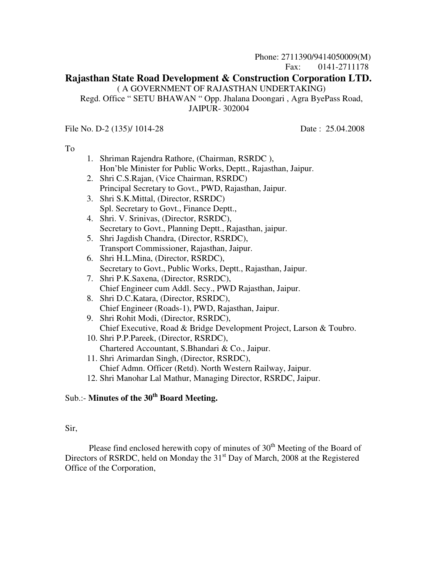## Phone: 2711390/9414050009(M) Fax: 0141-2711178 **Rajasthan State Road Development & Construction Corporation LTD.**  ( A GOVERNMENT OF RAJASTHAN UNDERTAKING) Regd. Office " SETU BHAWAN " Opp. Jhalana Doongari , Agra ByePass Road, JAIPUR- 302004

File No. D-2 (135)/ 1014-28 Date: 25.04.2008

To

| 1. Shriman Rajendra Rathore, (Chairman, RSRDC),               |  |  |  |
|---------------------------------------------------------------|--|--|--|
| Hon'ble Minister for Public Works, Deptt., Rajasthan, Jaipur. |  |  |  |

- 2. Shri C.S.Rajan, (Vice Chairman, RSRDC) Principal Secretary to Govt., PWD, Rajasthan, Jaipur.
- 3. Shri S.K.Mittal, (Director, RSRDC) Spl. Secretary to Govt., Finance Deptt.,
- 4. Shri. V. Srinivas, (Director, RSRDC), Secretary to Govt., Planning Deptt., Rajasthan, jaipur.
- 5. Shri Jagdish Chandra, (Director, RSRDC), Transport Commissioner, Rajasthan, Jaipur.
- 6. Shri H.L.Mina, (Director, RSRDC), Secretary to Govt., Public Works, Deptt., Rajasthan, Jaipur.
- 7. Shri P.K.Saxena, (Director, RSRDC), Chief Engineer cum Addl. Secy., PWD Rajasthan, Jaipur.
- 8. Shri D.C.Katara, (Director, RSRDC), Chief Engineer (Roads-1), PWD, Rajasthan, Jaipur.
- 9. Shri Rohit Modi, (Director, RSRDC), Chief Executive, Road & Bridge Development Project, Larson & Toubro.
- 10. Shri P.P.Pareek, (Director, RSRDC), Chartered Accountant, S.Bhandari & Co., Jaipur.
- 11. Shri Arimardan Singh, (Director, RSRDC), Chief Admn. Officer (Retd). North Western Railway, Jaipur.
- 12. Shri Manohar Lal Mathur, Managing Director, RSRDC, Jaipur.

# Sub.:- **Minutes of the 30th Board Meeting.**

#### Sir,

Please find enclosed herewith copy of minutes of  $30<sup>th</sup>$  Meeting of the Board of Directors of RSRDC, held on Monday the  $31<sup>st</sup>$  Day of March, 2008 at the Registered Office of the Corporation,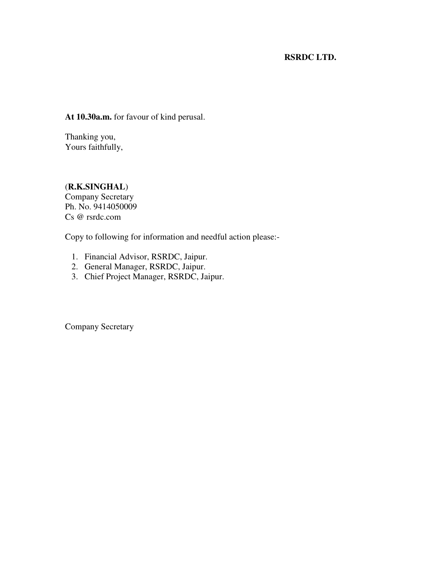# **RSRDC LTD.**

**At 10.30a.m.** for favour of kind perusal.

Thanking you, Yours faithfully,

(**R.K.SINGHAL**) Company Secretary Ph. No. 9414050009 Cs @ rsrdc.com

Copy to following for information and needful action please:-

- 1. Financial Advisor, RSRDC, Jaipur.
- 2. General Manager, RSRDC, Jaipur.
- 3. Chief Project Manager, RSRDC, Jaipur.

Company Secretary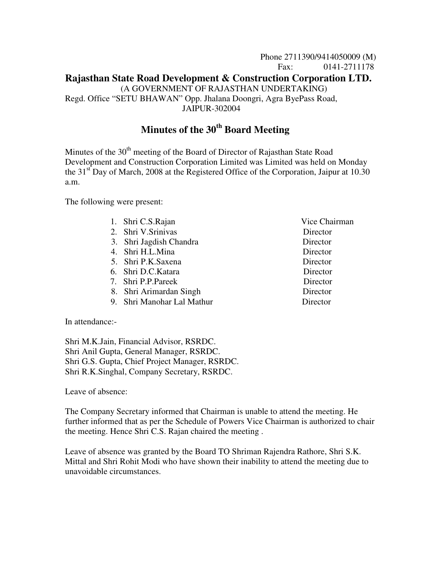# Phone 2711390/9414050009 (M) Fax: 0141-2711178 **Rajasthan State Road Development & Construction Corporation LTD.** (A GOVERNMENT OF RAJASTHAN UNDERTAKING) Regd. Office "SETU BHAWAN" Opp. Jhalana Doongri, Agra ByePass Road, JAIPUR-302004

# **Minutes of the 30th Board Meeting**

Minutes of the  $30<sup>th</sup>$  meeting of the Board of Director of Rajasthan State Road Development and Construction Corporation Limited was Limited was held on Monday the  $31<sup>st</sup>$  Day of March, 2008 at the Registered Office of the Corporation, Jaipur at 10.30 a.m.

The following were present:

- 1. Shri C.S.Rajan Vice Chairman
- 2. Shri V.Srinivas Director
- 3. Shri Jagdish Chandra Director
- 4. Shri H.L.Mina Director
- 5. Shri P.K.Saxena Director
- 6. Shri D.C.Katara Director
- 7. Shri P.P.Pareek Director
- 8. Shri Arimardan Singh Director
- 9. Shri Manohar Lal Mathur Director

In attendance:-

Shri M.K.Jain, Financial Advisor, RSRDC. Shri Anil Gupta, General Manager, RSRDC. Shri G.S. Gupta, Chief Project Manager, RSRDC. Shri R.K.Singhal, Company Secretary, RSRDC.

Leave of absence:

The Company Secretary informed that Chairman is unable to attend the meeting. He further informed that as per the Schedule of Powers Vice Chairman is authorized to chair the meeting. Hence Shri C.S. Rajan chaired the meeting .

Leave of absence was granted by the Board TO Shriman Rajendra Rathore, Shri S.K. Mittal and Shri Rohit Modi who have shown their inability to attend the meeting due to unavoidable circumstances.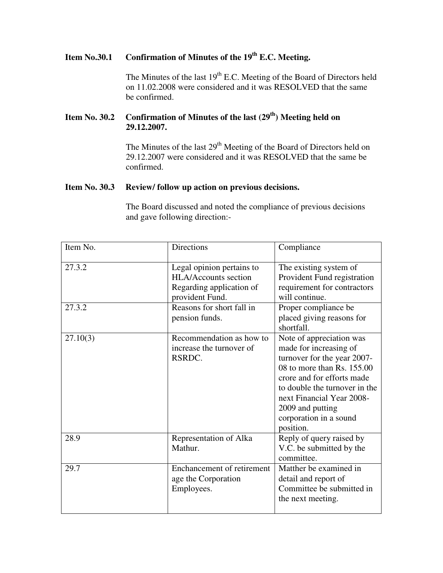# **Item No.30.1 Confirmation of Minutes of the 19th E.C. Meeting.**

The Minutes of the last 19<sup>th</sup> E.C. Meeting of the Board of Directors held on 11.02.2008 were considered and it was RESOLVED that the same be confirmed.

# **Item No. 30.2 Confirmation of Minutes of the last (29th) Meeting held on 29.12.2007.**

The Minutes of the last 29<sup>th</sup> Meeting of the Board of Directors held on 29.12.2007 were considered and it was RESOLVED that the same be confirmed.

# **Item No. 30.3 Review/ follow up action on previous decisions.**

The Board discussed and noted the compliance of previous decisions and gave following direction:-

| Item No. | <b>Directions</b>                                                                                       | Compliance                                                                                                                                                                                                                                                               |  |
|----------|---------------------------------------------------------------------------------------------------------|--------------------------------------------------------------------------------------------------------------------------------------------------------------------------------------------------------------------------------------------------------------------------|--|
| 27.3.2   | Legal opinion pertains to<br><b>HLA/Accounts section</b><br>Regarding application of<br>provident Fund. | The existing system of<br>Provident Fund registration<br>requirement for contractors<br>will continue.                                                                                                                                                                   |  |
| 27.3.2   | Reasons for short fall in<br>pension funds.                                                             | Proper compliance be<br>placed giving reasons for<br>shortfall.                                                                                                                                                                                                          |  |
| 27.10(3) | Recommendation as how to<br>increase the turnover of<br>RSRDC.                                          | Note of appreciation was<br>made for increasing of<br>turnover for the year 2007-<br>08 to more than $Rs. 155.00$<br>crore and for efforts made<br>to double the turnover in the<br>next Financial Year 2008-<br>2009 and putting<br>corporation in a sound<br>position. |  |
| 28.9     | Representation of Alka<br>Mathur.                                                                       | Reply of query raised by<br>V.C. be submitted by the<br>committee.                                                                                                                                                                                                       |  |
| 29.7     | <b>Enchancement of retirement</b><br>age the Corporation<br>Employees.                                  | Matther be examined in<br>detail and report of<br>Committee be submitted in<br>the next meeting.                                                                                                                                                                         |  |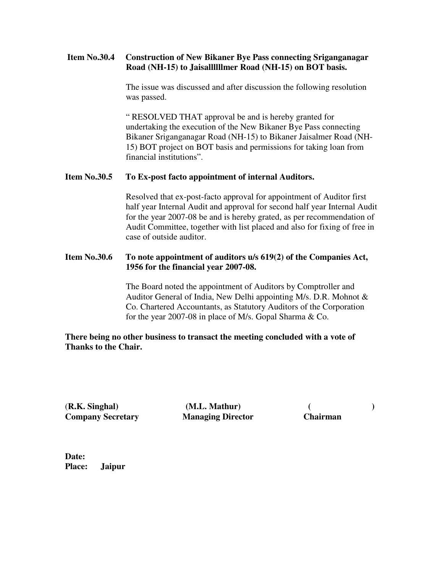#### **Item No.30.4 Construction of New Bikaner Bye Pass connecting Sriganganagar Road (NH-15) to Jaisallllllmer Road (NH-15) on BOT basis.**

 The issue was discussed and after discussion the following resolution was passed.

 " RESOLVED THAT approval be and is hereby granted for undertaking the execution of the New Bikaner Bye Pass connecting Bikaner Sriganganagar Road (NH-15) to Bikaner Jaisalmer Road (NH- 15) BOT project on BOT basis and permissions for taking loan from financial institutions".

#### **Item No.30.5 To Ex-post facto appointment of internal Auditors.**

Resolved that ex-post-facto approval for appointment of Auditor first half year Internal Audit and approval for second half year Internal Audit for the year 2007-08 be and is hereby grated, as per recommendation of Audit Committee, together with list placed and also for fixing of free in case of outside auditor.

#### **Item No.30.6 To note appointment of auditors u/s 619(2) of the Companies Act, 1956 for the financial year 2007-08.**

 The Board noted the appointment of Auditors by Comptroller and Auditor General of India, New Delhi appointing M/s. D.R. Mohnot & Co. Chartered Accountants, as Statutory Auditors of the Corporation for the year 2007-08 in place of M/s. Gopal Sharma & Co.

## **There being no other business to transact the meeting concluded with a vote of Thanks to the Chair.**

(**R.K. Singhal) (M.L. Mathur) ( ) Company Secretary Managing Director Chairman**

**Date: Place: Jaipur**